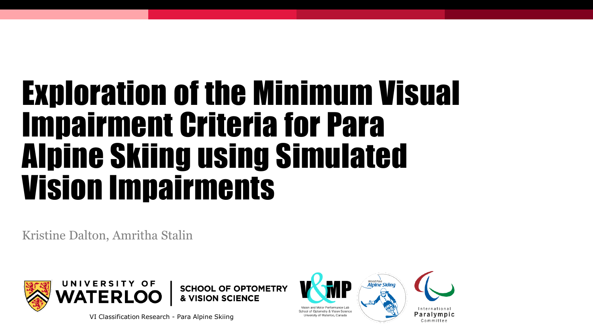# Exploration of the Minimum Visual Impairment Criteria for Para Alpine Skiing using Simulated Vision Impairments

Kristine Dalton, Amritha Stalin



**SCHOOL OF OPTOMETRY & VISION SCIENCE** 

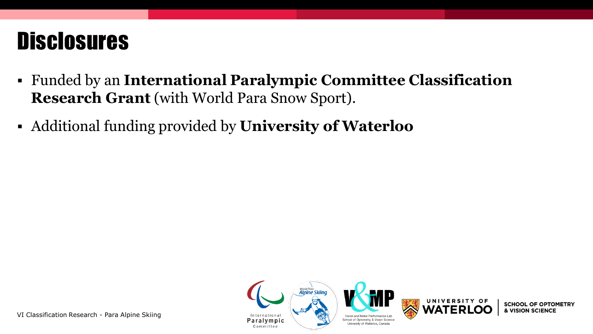#### **Disclosures**

- Funded by an **International Paralympic Committee Classification Research Grant** (with World Para Snow Sport).
- Additional funding provided by **University of Waterloo**



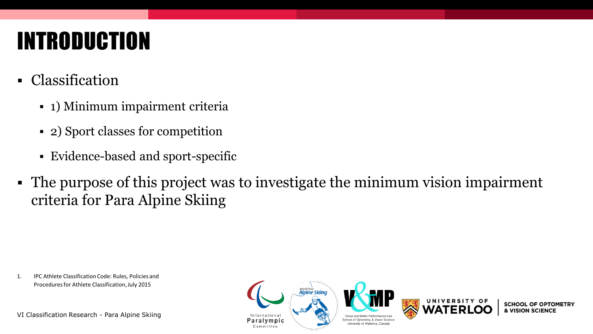## INTRODUCTION

- Classification
	- 1) Minimum impairment criteria
	- 2) Sport classes for competition
	- Evidence-based and sport-specific
- The purpose of this project was to investigate the minimum vision impairment criteria for Para Alpine Skiing

1. IPC Athlete Classification Code: Rules, Policies and Procedures for Athlete Classification, July 2015

VI Classification Research - Para Alpine Skiing

**Alpine Skiind** International Paralympic Committee





**SCHOOL OF OPTOMETRY** & VISION SCIENCI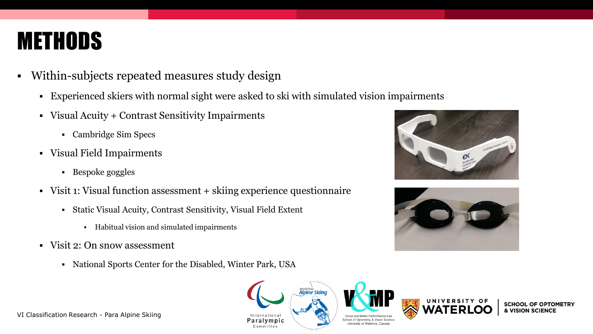#### **METHODS**

- Within-subjects repeated measures study design
	- Experienced skiers with normal sight were asked to ski with simulated vision impairments
	- Visual Acuity + Contrast Sensitivity Impairments
		- Cambridge Sim Specs
	- Visual Field Impairments
		- Bespoke goggles
	- Visit 1: Visual function assessment + skiing experience questionnaire
		- Static Visual Acuity, Contrast Sensitivity, Visual Field Extent
			- Habitual vision and simulated impairments
	- Visit 2: On snow assessment
		- National Sports Center for the Disabled, Winter Park, USA





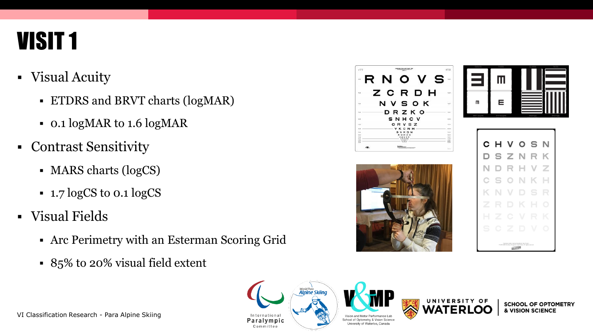### VISIT 1

- Visual Acuity
	- ETDRS and BRVT charts (logMAR)
	- 0.1 logMAR to 1.6 logMAR
- Contrast Sensitivity
	- MARS charts (logCS)
	- 1.7 logCS to 0.1 logCS
- Visual Fields
	- Arc Perimetry with an Esterman Scoring Grid
	- 85% to 20% visual field extent









**SCHOOL OF OPTOMETRY & VISION SCIENCE** 

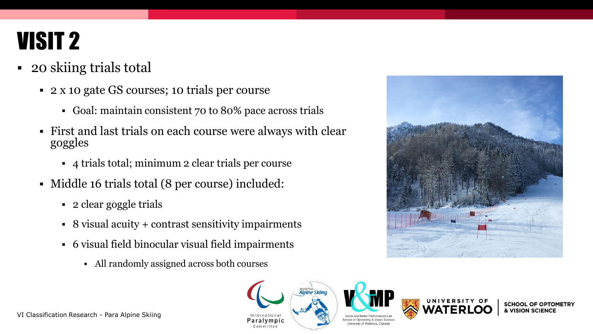### VISIT 2

- 20 skiing trials total
	- 2 x 10 gate GS courses; 10 trials per course
		- Goal: maintain consistent 70 to 80% pace across trials
	- First and last trials on each course were always with clear goggles
		- 4 trials total; minimum 2 clear trials per course
	- Middle 16 trials total (8 per course) included:
		- 2 clear goggle trials
		- 8 visual acuity + contrast sensitivity impairments
		- 6 visual field binocular visual field impairments
			- All randomly assigned across both courses







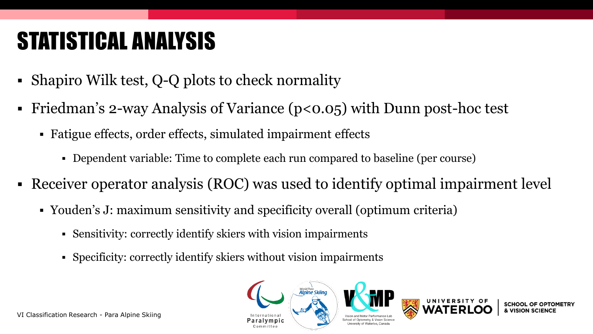# STATISTICAL ANALYSIS

- **Shapiro Wilk test, Q-Q plots to check normality**
- Friedman's 2-way Analysis of Variance ( $p<0.05$ ) with Dunn post-hoc test
	- Fatigue effects, order effects, simulated impairment effects
		- Dependent variable: Time to complete each run compared to baseline (per course)
- Receiver operator analysis (ROC) was used to identify optimal impairment level
	- Youden's J: maximum sensitivity and specificity overall (optimum criteria)
		- Sensitivity: correctly identify skiers with vision impairments
		- Specificity: correctly identify skiers without vision impairments

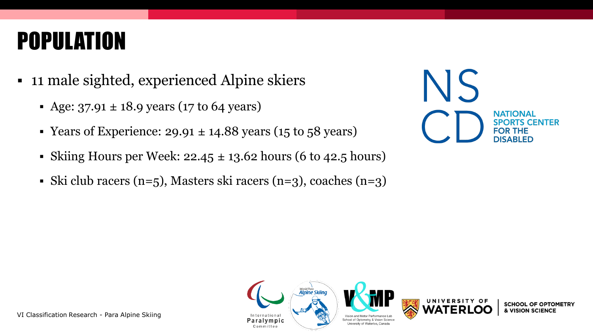### POPULATION

- 11 male sighted, experienced Alpine skiers
	- Age:  $37.91 \pm 18.9$  years (17 to 64 years)
	- Experience:  $29.91 \pm 14.88$  years (15 to 58 years)
	- Skiing Hours per Week:  $22.45 \pm 13.62$  hours (6 to 42.5 hours)
	- Ski club racers (n=5), Masters ski racers (n=3), coaches (n=3)





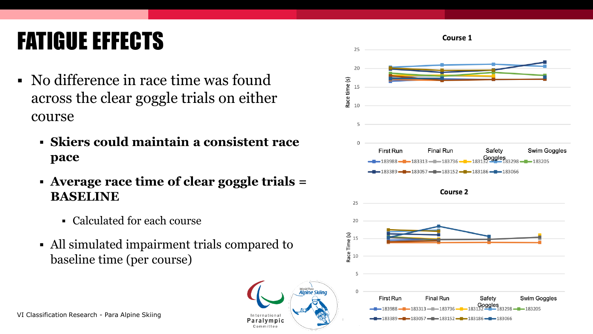# FATIGUE EFFECTS

- No difference in race time was found across the clear goggle trials on either course
	- **Skiers could maintain a consistent race pace**
	- **Average race time of clear goggle trials = BASELINE**
		- Calculated for each course
	- All simulated impairment trials compared to baseline time (per course)

International

Paralympic Committee

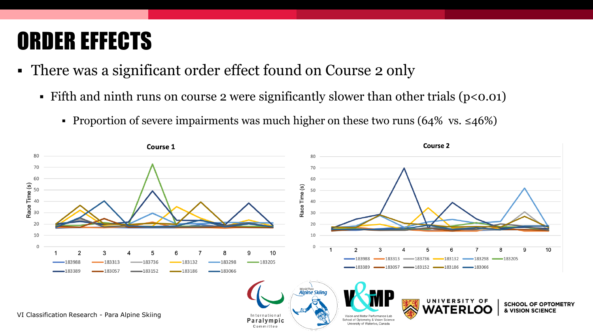### ORDER EFFECTS

- There was a significant order effect found on Course 2 only
	- **Fifth and ninth runs on course 2 were significantly slower than other trials (** $p<0.01$ **)** 
		- **■** Proportion of severe impairments was much higher on these two runs  $(64\% \text{ vs. } \leq 46\%)$

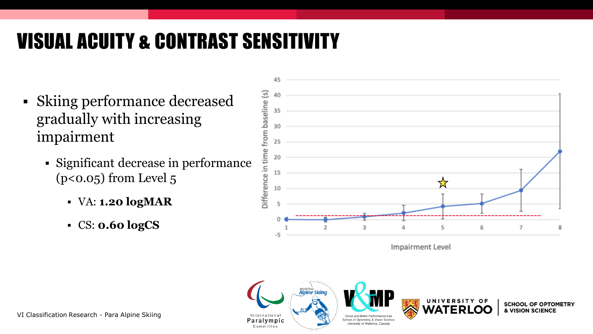#### VISUAL ACUITY & CONTRAST SENSITIVITY

- Skiing performance decreased gradually with increasing impairment
	- Significant decrease in performance  $(p<0.05)$  from Level  $5$ 
		- VA: **1.20 logMAR**
		- CS: **0.60 logCS**



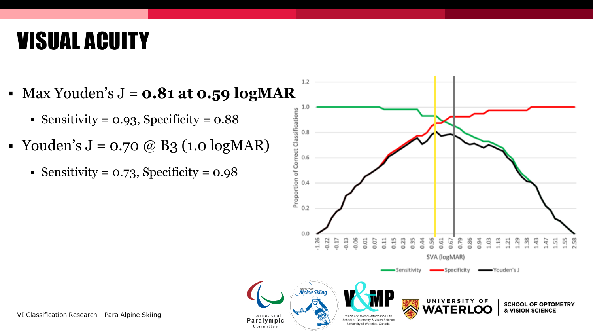### VISUAL ACUITY

- $\blacksquare$  Max Youden's  $J = 0.81$  at  $0.59$  logMAR
	- Sensitivity =  $0.93$ , Specificity =  $0.88$
- Youden's  $J = 0.70 \ @ \ B3 (1.0 \log \text{MAR})$ 
	- $\blacksquare$  Sensitivity = 0.73, Specificity = 0.98

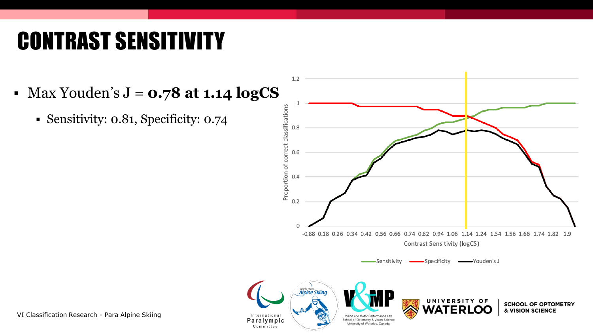# CONTRAST SENSITIVITY

▪ Max Youden's J = **0.78 at 1.14 logCS**

Committee

▪ Sensitivity: 0.81, Specificity: 0.74

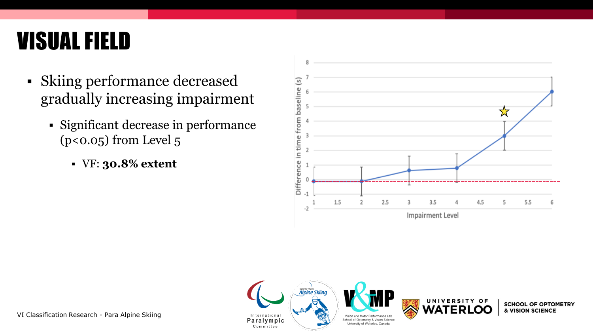### VISUAL FIELD

- Skiing performance decreased gradually increasing impairment
	- Significant decrease in performance  $(p<0.05)$  from Level  $5$ 
		- VF: **30.8% extent**







**SCHOOL OF OPTOMETRY** & VISION SCIENCE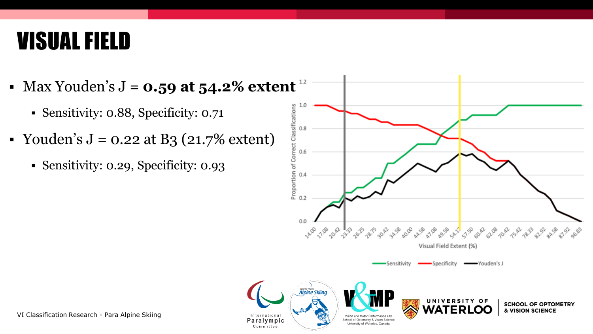### VISUAL FIELD

• Max Youden's  $J = 0.59$  at  $54.2\%$  extent  $12$ 

Committee

- Sensitivity: 0.88, Specificity: 0.71
- Youden's  $J = 0.22$  at B<sub>3</sub> (21.7% extent)
	- Sensitivity: 0.29, Specificity: 0.93

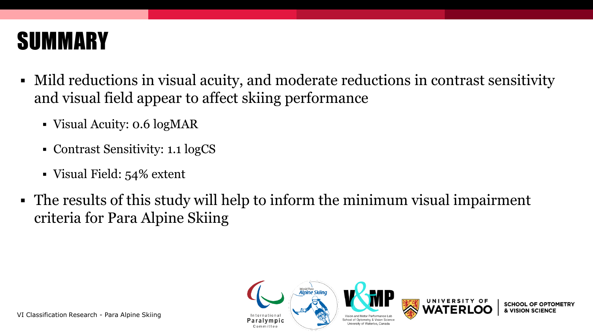

- Mild reductions in visual acuity, and moderate reductions in contrast sensitivity and visual field appear to affect skiing performance
	- Visual Acuity: 0.6 logMAR
	- Contrast Sensitivity: 1.1 logCS
	- Visual Field: 54% extent
- The results of this study will help to inform the minimum visual impairment criteria for Para Alpine Skiing